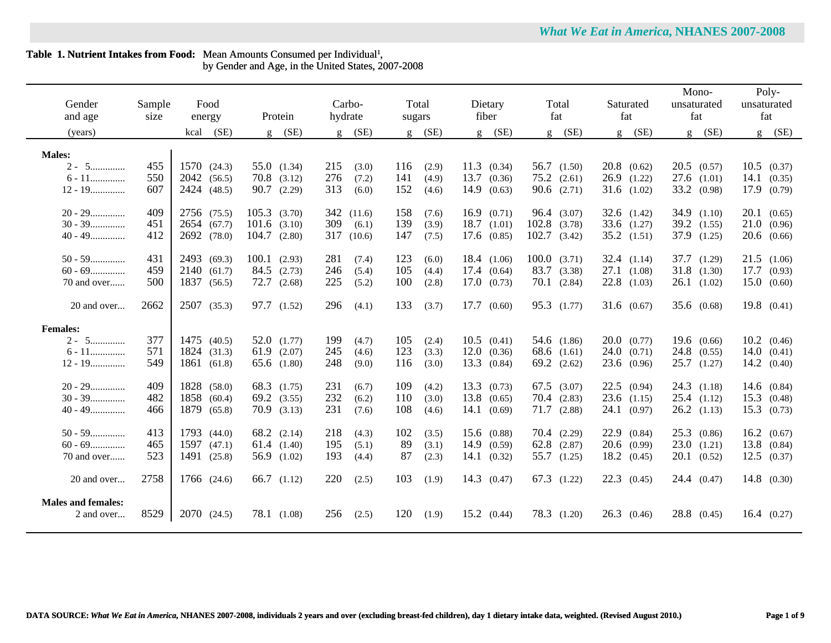# Table 1. Nutrient Intakes from Food: Mean Amounts Consumed per Individual<sup>1</sup>, by Gender and Age, in the United States, 2007-2008

| Gender<br>and age<br>(years)            | Sample<br>size | Food<br>energy<br>(SE)<br>kcal | Protein<br>$g$ (SE)            | Carbo-<br>hydrate<br>$g$ (SE) | Total<br>sugars<br>$g$ (SE)  | Dietary<br>fiber<br>$g$ (SE) | Total<br>fat<br>$g$ (SE) | Saturated<br>fat<br>$g$ (SE) | Mono-<br>unsaturated<br>fat<br>$g$ (SE) | Poly-<br>unsaturated<br>fat<br>(SE) |
|-----------------------------------------|----------------|--------------------------------|--------------------------------|-------------------------------|------------------------------|------------------------------|--------------------------|------------------------------|-----------------------------------------|-------------------------------------|
|                                         |                |                                |                                |                               |                              |                              |                          |                              |                                         | g                                   |
| <b>Males:</b>                           |                |                                |                                |                               |                              |                              |                          |                              |                                         |                                     |
| $2 - 5$                                 | 455            | 1570(24.3)                     | $55.0$ $(1.34)$                | 215<br>(3.0)                  | 116<br>(2.9)                 | $11.3$ (0.34)                | $56.7$ $(1.50)$          | $20.8$ $(0.62)$              | $20.5$ $(0.57)$                         | $10.5$ $(0.37)$                     |
| $6 - 11$                                | 550            | 2042 (56.5)                    | $70.8$ $(3.12)$                | 276<br>(7.2)                  | 141<br>(4.9)                 | 13.7<br>(0.36)               | $75.2$ $(2.61)$          | $26.9$ $(1.22)$              | $27.6$ $(1.01)$                         | 14.1<br>(0.35)                      |
| $12 - 19$                               | 607            | 2424 (48.5)                    | 90.7<br>(2.29)                 | 313<br>(6.0)                  | 152<br>(4.6)                 | 14.9<br>(0.63)               | $90.6$ $(2.71)$          | $31.6$ $(1.02)$              | 33.2 (0.98)                             | 17.9<br>(0.79)                      |
| $20 - 29$                               | 409            | 2756 (75.5)                    | 105.3<br>(3.70)                | 342<br>(11.6)                 | 158<br>(7.6)                 | 16.9(0.71)                   | 96.4 (3.07)              | $32.6$ $(1.42)$              | $34.9$ $(1.10)$                         | 20.1(0.65)                          |
| $30 - 39$                               | 451            | 2654 (67.7)                    | 101.6<br>(3.10)                | 309<br>(6.1)                  | 139<br>(3.9)                 | $18.7$ $(1.01)$              | $102.8$ $(3.78)$         | $33.6$ $(1.27)$              | $39.2$ $(1.55)$                         | 21.0<br>(0.96)                      |
| $40 - 49$                               | 412            | 2692 (78.0)                    | 104.7<br>(2.80)                | 317<br>(10.6)                 | 147<br>(7.5)                 | $17.6$ $(0.85)$              | $102.7$ $(3.42)$         | $35.2$ $(1.51)$              | 37.9 (1.25)                             | 20.6(0.66)                          |
|                                         |                |                                |                                |                               |                              |                              |                          |                              |                                         |                                     |
| $50 - 59$                               | 431            | 2493 (69.3)                    | 100.1<br>(2.93)                | 281<br>(7.4)                  | 123<br>(6.0)                 | 18.4 (1.06)                  | $100.0$ $(3.71)$         | 32.4 $(1.14)$                | 37.7 (1.29)                             | $21.5$ $(1.06)$                     |
| $60 - 69$                               | 459            | 2140 (61.7)                    | 84.5<br>(2.73)                 | 246<br>(5.4)                  | 105<br>(4.4)                 | 17.4<br>(0.64)               | 83.7 (3.38)              | $27.1$ $(1.08)$              | $31.8$ $(1.30)$                         | 17.7<br>(0.93)                      |
| 70 and over                             | 500            | 1837 (56.5)                    | $72.7$ $(2.68)$                | 225<br>(5.2)                  | 100<br>(2.8)                 | 17.0(0.73)                   | $70.1$ $(2.84)$          | $22.8$ $(1.03)$              | $26.1$ $(1.02)$                         | 15.0(0.60)                          |
| 20 and over                             | 2662           | 2507 (35.3)                    | 97.7 (1.52)                    | 296<br>(4.1)                  | 133<br>(3.7)                 | 17.7 (0.60)                  | 95.3 (1.77)              | $31.6 \quad (0.67)$          | $35.6 \quad (0.68)$                     | $19.8$ $(0.41)$                     |
|                                         |                |                                |                                |                               |                              |                              |                          |                              |                                         |                                     |
| <b>Females:</b>                         |                |                                |                                |                               |                              |                              |                          |                              |                                         |                                     |
| $2 - 5$                                 | 377            | 1475 (40.5)                    | $52.0$ $(1.77)$                | 199<br>(4.7)                  | 105<br>(2.4)                 | $10.5$ $(0.41)$              | 54.6 (1.86)              | $20.0\quad(0.77)$            | 19.6(0.66)                              | $10.2 \quad (0.46)$                 |
| $6$ - $11$                              | 571            | 1824 (31.3)                    | 61.9<br>(2.07)                 | 245<br>(4.6)                  | 123<br>(3.3)                 | 12.0<br>(0.36)               | 68.6 $(1.61)$            | 24.0<br>(0.71)               | $24.8$ $(0.55)$                         | 14.0(0.41)                          |
| $12 - 19$                               | 549            | 1861 (61.8)                    | $65.6$ $(1.80)$                | 248<br>(9.0)                  | 116<br>(3.0)                 | 13.3<br>(0.84)               | $69.2$ $(2.62)$          | 23.6<br>(0.96)               | $25.7$ $(1.27)$                         | 14.2<br>(0.40)                      |
| $20 - 29$                               | 409            | 1828 (58.0)                    |                                | 231                           |                              | $13.3 \quad (0.73)$          | $67.5$ $(3.07)$          | $22.5$ $(0.94)$              | $24.3$ $(1.18)$                         |                                     |
| $30 - 39$                               | 482            | 1858 (60.4)                    | 68.3 (1.75)<br>$69.2$ $(3.55)$ | (6.7)<br>232                  | 109<br>(4.2)<br>110<br>(3.0) | $13.8$ $(0.65)$              | $70.4$ $(2.83)$          | 23.6<br>(1.15)               | $25.4$ $(1.12)$                         | 14.6 $(0.84)$<br>15.3               |
| $40 - 49$                               | 466            | 1879 (65.8)                    | $70.9$ $(3.13)$                | (6.2)<br>231                  | 108<br>(4.6)                 | 14.1<br>(0.69)               | $71.7$ $(2.88)$          | 24.1<br>(0.97)               | $26.2$ $(1.13)$                         | (0.48)<br>15.3<br>(0.73)            |
|                                         |                |                                |                                | (7.6)                         |                              |                              |                          |                              |                                         |                                     |
| $50 - 59$                               | 413            | 1793 (44.0)                    | 68.2 (2.14)                    | 218<br>(4.3)                  | 102<br>(3.5)                 | 15.6 (0.88)                  | $70.4$ $(2.29)$          | 22.9<br>(0.84)               | $25.3$ $(0.86)$                         | 16.2 (0.67)                         |
| $60 - 69$                               | 465            | 1597(47.1)                     | 61.4(1.40)                     | 195<br>(5.1)                  | 89<br>(3.1)                  | 14.9 (0.59)                  | $62.8$ $(2.87)$          | $20.6$ (0.99)                | 23.0(1.21)                              | 13.8<br>(0.84)                      |
| 70 and over                             | 523            | 1491 (25.8)                    | 56.9 (1.02)                    | 193<br>(4.4)                  | 87<br>(2.3)                  | 14.1 (0.32)                  | 55.7 (1.25)              | $18.2 \quad (0.45)$          | $20.1$ $(0.52)$                         | 12.5<br>(0.37)                      |
|                                         |                |                                |                                |                               |                              |                              |                          |                              |                                         |                                     |
| 20 and over                             | 2758           | 1766 (24.6)                    | 66.7<br>(1.12)                 | 220<br>(2.5)                  | 103<br>(1.9)                 | 14.3 (0.47)                  | $67.3$ $(1.22)$          | 22.3<br>(0.45)               | 24.4(0.47)                              | $14.8$ (0.30)                       |
|                                         |                |                                |                                |                               |                              |                              |                          |                              |                                         |                                     |
| <b>Males and females:</b><br>2 and over | 8529           | 2070 (24.5)                    | 78.1 (1.08)                    | 256                           | 120                          | $15.2 \quad (0.44)$          | 78.3 (1.20)              | 26.3<br>(0.46)               | $28.8$ (0.45)                           | $16.4 \quad (0.27)$                 |
|                                         |                |                                |                                | (2.5)                         | (1.9)                        |                              |                          |                              |                                         |                                     |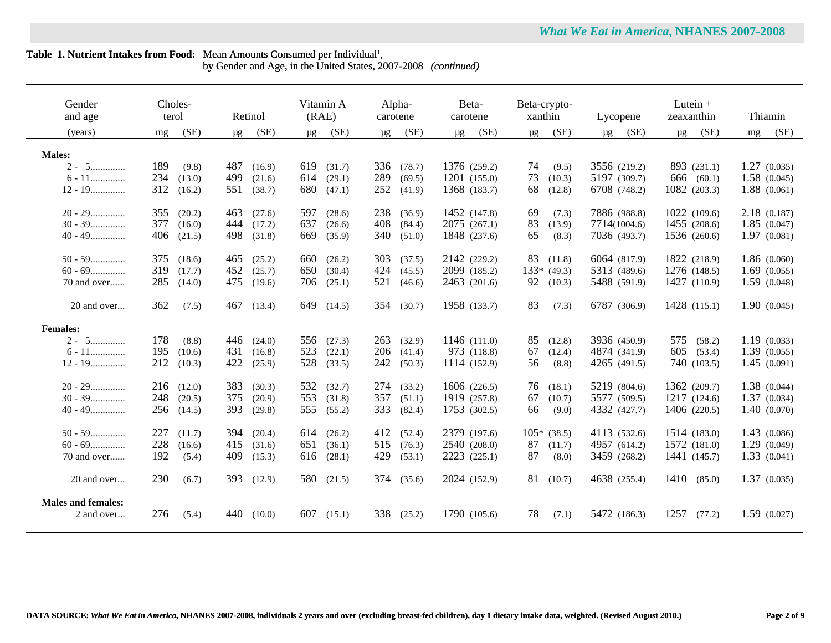by Gender and Age, in the United States, 2007-2008 *(continued)*

| Gender<br>and age                       | terol | Choles- |         | Retinol | (RAE)   | Vitamin A      | carotene | Alpha-     | Beta-<br>carotene |      | Beta-crypto-<br>xanthin |               |         | Lycopene     | zeaxanthin | Lutein $+$   |    | Thiamin     |
|-----------------------------------------|-------|---------|---------|---------|---------|----------------|----------|------------|-------------------|------|-------------------------|---------------|---------|--------------|------------|--------------|----|-------------|
| (years)                                 | mg    | (SE)    | $\mu$ g | (SE)    | $\mu$ g | (SE)           | $\mu$ g  | (SE)       | $\mu$ g           | (SE) | $\mu$ g                 | (SE)          | $\mu$ g | (SE)         |            | $\mu$ g (SE) | mg | (SE)        |
| <b>Males:</b>                           |       |         |         |         |         |                |          |            |                   |      |                         |               |         |              |            |              |    |             |
| $2 - 5$                                 | 189   | (9.8)   | 487     | (16.9)  | 619     | (31.7)         | 336      | (78.7)     | 1376 (259.2)      |      | 74                      | (9.5)         |         | 3556 (219.2) |            | 893 (231.1)  |    | 1.27(0.035) |
| $6 - 11$                                | 234   | (13.0)  | 499     | (21.6)  | 614     | (29.1)         | 289      | (69.5)     | 1201 (155.0)      |      | 73                      | (10.3)        |         | 5197 (309.7) |            | 666 (60.1)   |    | 1.58(0.045) |
| $12 - 19$                               | 312   | (16.2)  | 551     | (38.7)  | 680     | (47.1)         | 252      | (41.9)     | 1368 (183.7)      |      | 68                      | (12.8)        |         | 6708 (748.2) |            | 1082 (203.3) |    | 1.88(0.061) |
|                                         |       |         |         |         |         |                |          |            |                   |      |                         |               |         |              |            |              |    |             |
| $20 - 29$                               | 355   | (20.2)  | 463     | (27.6)  | 597     | (28.6)         | 238      | (36.9)     | 1452 (147.8)      |      | 69                      | (7.3)         |         | 7886 (988.8) |            | 1022 (109.6) |    | 2.18(0.187) |
| $30 - 39$                               | 377   | (16.0)  | 444     | (17.2)  | 637     | (26.6)         | 408      | (84.4)     | 2075(267.1)       |      | 83                      | (13.9)        |         | 7714(1004.6) |            | 1455 (208.6) |    | 1.85(0.047) |
| $40 - 49$                               | 406   | (21.5)  | 498     | (31.8)  | 669     | (35.9)         | 340      | (51.0)     | 1848 (237.6)      |      | 65                      | (8.3)         |         | 7036 (493.7) |            | 1536 (260.6) |    | 1.97(0.081) |
|                                         |       |         |         |         |         |                |          |            |                   |      |                         |               |         |              |            |              |    |             |
| $50 - 59$                               | 375   | (18.6)  | 465     | (25.2)  | 660     | (26.2)         | 303      | (37.5)     | 2142 (229.2)      |      | 83                      | (11.8)        |         | 6064 (817.9) |            | 1822 (218.9) |    | 1.86(0.060) |
| $60 - 69$                               | 319   | (17.7)  | 452     | (25.7)  | 650     | (30.4)         | 424      | (45.5)     | 2099 (185.2)      |      |                         | $133* (49.3)$ |         | 5313 (489.6) |            | 1276 (148.5) |    | 1.69(0.055) |
| 70 and over                             | 285   | (14.0)  | 475     | (19.6)  | 706     | (25.1)         | 521      | (46.6)     | 2463 (201.6)      |      | 92                      | (10.3)        |         | 5488 (591.9) |            | 1427 (110.9) |    | 1.59(0.048) |
| 20 and over                             | 362   | (7.5)   | 467     | (13.4)  |         | 649 (14.5)     |          | 354 (30.7) | 1958 (133.7)      |      | 83                      | (7.3)         |         | 6787 (306.9) |            | 1428 (115.1) |    | 1.90(0.045) |
|                                         |       |         |         |         |         |                |          |            |                   |      |                         |               |         |              |            |              |    |             |
| <b>Females:</b>                         |       |         |         |         |         |                |          |            |                   |      |                         |               |         |              |            |              |    |             |
| $2 - 5$                                 | 178   | (8.8)   | 446     | (24.0)  | 556     | (27.3)         | 263      | (32.9)     | 1146 (111.0)      |      | 85                      | (12.8)        |         | 3936 (450.9) | 575        | (58.2)       |    | 1.19(0.033) |
| $6 - 11$                                | 195   | (10.6)  | 431     | (16.8)  | 523     | (22.1)         | 206      | (41.4)     | 973 (118.8)       |      | 67                      | (12.4)        |         | 4874 (341.9) | 605        | (53.4)       |    | 1.39(0.055) |
| $12 - 19$                               | 212   | (10.3)  | 422     | (25.9)  | 528     | (33.5)         | 242      | (50.3)     | 1114 (152.9)      |      | 56                      | (8.8)         |         | 4265 (491.5) |            | 740 (103.5)  |    | 1.45(0.091) |
| $20 - 29$                               | 216   | (12.0)  | 383     | (30.3)  | 532     | (32.7)         | 274      | (33.2)     | 1606 (226.5)      |      | 76                      | (18.1)        |         | 5219 (804.6) |            | 1362 (209.7) |    | 1.38(0.044) |
| $30 - 39$                               | 248   | (20.5)  | 375     | (20.9)  | 553     | (31.8)         | 357      | (51.1)     | 1919 (257.8)      |      | 67                      | (10.7)        |         | 5577 (509.5) |            | 1217 (124.6) |    | 1.37(0.034) |
| $40 - 49$                               | 256   | (14.5)  | 393     | (29.8)  | 555     | (55.2)         | 333      | (82.4)     | 1753 (302.5)      |      | 66                      | (9.0)         |         | 4332 (427.7) |            | 1406 (220.5) |    | 1.40(0.070) |
|                                         |       |         |         |         |         |                |          |            |                   |      |                         |               |         |              |            |              |    |             |
| $50 - 59$                               | 227   | (11.7)  | 394     | (20.4)  | 614     | (26.2)         | 412      | (52.4)     | 2379 (197.6)      |      |                         | $105*$ (38.5) |         | 4113 (532.6) |            | 1514 (183.0) |    | 1.43(0.086) |
| $60 - 69$                               | 228   | (16.6)  | 415     | (31.6)  | 651     | (36.1)         | 515      | (76.3)     | 2540 (208.0)      |      | 87                      | (11.7)        |         | 4957 (614.2) |            | 1572 (181.0) |    | 1.29(0.049) |
| 70 and over                             | 192   | (5.4)   | 409     | (15.3)  | 616     | (28.1)         | 429      | (53.1)     | 2223 (225.1)      |      | 87                      | (8.0)         |         | 3459 (268.2) |            | 1441 (145.7) |    | 1.33(0.041) |
|                                         |       |         |         |         |         |                |          |            |                   |      |                         |               |         |              |            |              |    |             |
| 20 and over                             | 230   | (6.7)   | 393     | (12.9)  |         | 580 (21.5)     |          | 374 (35.6) | 2024 (152.9)      |      | 81                      | (10.7)        |         | 4638 (255.4) | 1410       | (85.0)       |    | 1.37(0.035) |
| <b>Males and females:</b><br>2 and over | 276   | (5.4)   | 440     | (10.0)  |         | $607$ $(15.1)$ | 338      | (25.2)     | 1790 (105.6)      |      | 78                      | (7.1)         |         | 5472 (186.3) | 1257       | (77.2)       |    | 1.59(0.027) |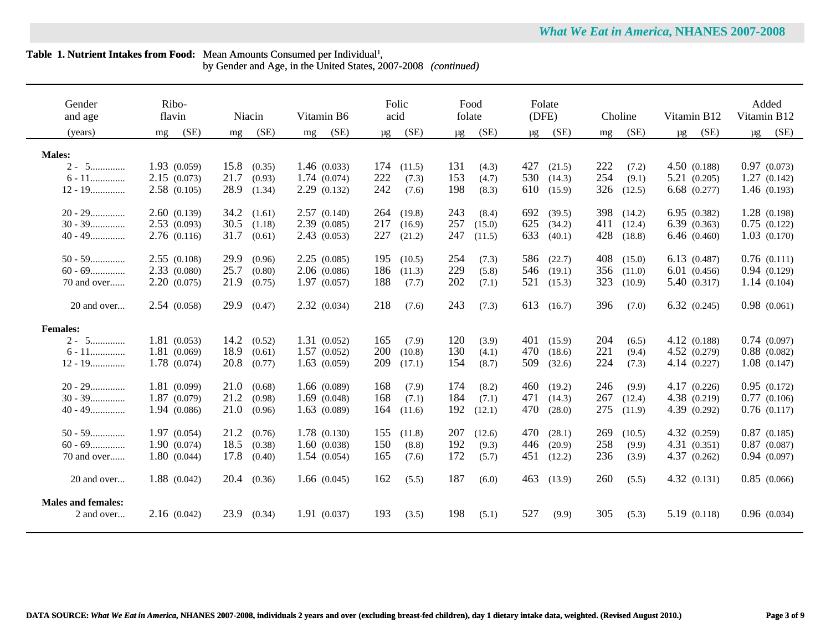by Gender and Age, in the United States, 2007-2008 *(continued)*

| Gender<br>and age                       | Ribo-<br>flavin | Niacin         | Vitamin B6  | Folic<br>acid   | Food<br>folate  | Folate<br>(DFE) | Choline       | Vitamin B12     | Added<br>Vitamin B12 |
|-----------------------------------------|-----------------|----------------|-------------|-----------------|-----------------|-----------------|---------------|-----------------|----------------------|
| (years)                                 | (SE)<br>mg      | (SE)<br>mg     | (SE)<br>mg  | (SE)<br>$\mu$ g | (SE)<br>$\mu$ g | (SE)<br>μg      | (SE)<br>mg    | (SE)<br>$\mu$ g | (SE)<br>$\mu$ g      |
| <b>Males:</b>                           |                 |                |             |                 |                 |                 |               |                 |                      |
| $2 - 5$                                 | 1.93(0.059)     | 15.8<br>(0.35) | 1.46(0.033) | 174<br>(11.5)   | 131<br>(4.3)    | 427<br>(21.5)   | 222<br>(7.2)  | 4.50(0.188)     | 0.97(0.073)          |
| $6 - 11$                                | 2.15(0.073)     | 21.7<br>(0.93) | 1.74(0.074) | 222<br>(7.3)    | 153<br>(4.7)    | 530<br>(14.3)   | 254<br>(9.1)  | 5.21(0.205)     | 1.27(0.142)          |
| $12 - 19$                               | 2.58(0.105)     | 28.9<br>(1.34) | 2.29(0.132) | 242<br>(7.6)    | 198<br>(8.3)    | 610<br>(15.9)   | 326<br>(12.5) | 6.68(0.277)     | 1.46(0.193)          |
| $20 - 29$                               | 2.60(0.139)     | 34.2<br>(1.61) | 2.57(0.140) | 264<br>(19.8)   | 243<br>(8.4)    | 692<br>(39.5)   | 398<br>(14.2) | 6.95 (0.382)    | 1.28(0.198)          |
| $30 - 39$                               | 2.53(0.093)     | 30.5<br>(1.18) | 2.39(0.085) | 217<br>(16.9)   | 257<br>(15.0)   | 625<br>(34.2)   | 411<br>(12.4) | 6.39(0.363)     | 0.75(0.122)          |
| $40 - 49$                               | 2.76(0.116)     | 31.7<br>(0.61) | 2.43(0.053) | 227<br>(21.2)   | 247<br>(11.5)   | 633<br>(40.1)   | 428<br>(18.8) | 6.46(0.460)     | 1.03(0.170)          |
| $50 - 59$                               | 2.55(0.108)     | 29.9<br>(0.96) | 2.25(0.085) | 195<br>(10.5)   | 254<br>(7.3)    | 586<br>(22.7)   | 408<br>(15.0) | 6.13(0.487)     | 0.76(0.111)          |
| $60 - 69$                               | 2.33(0.080)     | 25.7<br>(0.80) | 2.06(0.086) | 186<br>(11.3)   | 229<br>(5.8)    | 546<br>(19.1)   | 356<br>(11.0) | 6.01(0.456)     | 0.94(0.129)          |
| 70 and over                             | 2.20(0.075)     | 21.9<br>(0.75) | 1.97(0.057) | 188<br>(7.7)    | 202<br>(7.1)    | 521<br>(15.3)   | 323<br>(10.9) | 5.40 (0.317)    | 1.14(0.104)          |
| 20 and over                             | 2.54(0.058)     | 29.9<br>(0.47) | 2.32(0.034) | 218<br>(7.6)    | 243<br>(7.3)    | 613<br>(16.7)   | 396<br>(7.0)  | 6.32(0.245)     | 0.98(0.061)          |
| <b>Females:</b>                         |                 |                |             |                 |                 |                 |               |                 |                      |
| $2 - 5$                                 | 1.81(0.053)     | 14.2<br>(0.52) | 1.31(0.052) | 165<br>(7.9)    | 120<br>(3.9)    | 401<br>(15.9)   | 204<br>(6.5)  | 4.12 (0.188)    | 0.74(0.097)          |
| $6 - 11$                                | 1.81(0.069)     | 18.9<br>(0.61) | 1.57(0.052) | 200<br>(10.8)   | 130<br>(4.1)    | 470<br>(18.6)   | 221<br>(9.4)  | 4.52(0.279)     | $0.88$ $(0.082)$     |
| $12 - 19$                               | 1.78(0.074)     | 20.8<br>(0.77) | 1.63(0.059) | 209<br>(17.1)   | 154<br>(8.7)    | 509<br>(32.6)   | 224<br>(7.3)  | 4.14(0.227)     | 1.08(0.147)          |
| $20 - 29$                               | 1.81(0.099)     | 21.0<br>(0.68) | 1.66(0.089) | 168<br>(7.9)    | 174<br>(8.2)    | 460<br>(19.2)   | 246<br>(9.9)  | 4.17(0.226)     | 0.95(0.172)          |
| $30 - 39$                               | 1.87(0.079)     | 21.2<br>(0.98) | 1.69(0.048) | 168<br>(7.1)    | 184<br>(7.1)    | 471<br>(14.3)   | 267<br>(12.4) | 4.38 (0.219)    | 0.77(0.106)          |
| $40 - 49$                               | 1.94(0.086)     | 21.0<br>(0.96) | 1.63(0.089) | 164<br>(11.6)   | 192<br>(12.1)   | 470<br>(28.0)   | 275<br>(11.9) | 4.39 (0.292)    | 0.76(0.117)          |
| $50 - 59$                               | 1.97(0.054)     | 21.2<br>(0.76) | 1.78(0.130) | 155<br>(11.8)   | 207<br>(12.6)   | 470<br>(28.1)   | 269<br>(10.5) | 4.32 (0.259)    | $0.87$ $(0.185)$     |
| $60 - 69$                               | 1.90(0.074)     | 18.5<br>(0.38) | 1.60(0.038) | 150<br>(8.8)    | 192<br>(9.3)    | 446<br>(20.9)   | 258<br>(9.9)  | 4.31(0.351)     | $0.87$ $(0.087)$     |
| 70 and over                             | 1.80(0.044)     | 17.8<br>(0.40) | 1.54(0.054) | 165<br>(7.6)    | 172<br>(5.7)    | 451<br>(12.2)   | 236<br>(3.9)  | 4.37 (0.262)    | 0.94(0.097)          |
| 20 and over                             | 1.88(0.042)     | 20.4<br>(0.36) | 1.66(0.045) | 162<br>(5.5)    | 187<br>(6.0)    | 463<br>(13.9)   | 260<br>(5.5)  | 4.32(0.131)     | 0.85(0.066)          |
| <b>Males and females:</b><br>2 and over | 2.16(0.042)     | 23.9<br>(0.34) | 1.91(0.037) | 193<br>(3.5)    | 198<br>(5.1)    | 527<br>(9.9)    | 305<br>(5.3)  | 5.19 (0.118)    | 0.96(0.034)          |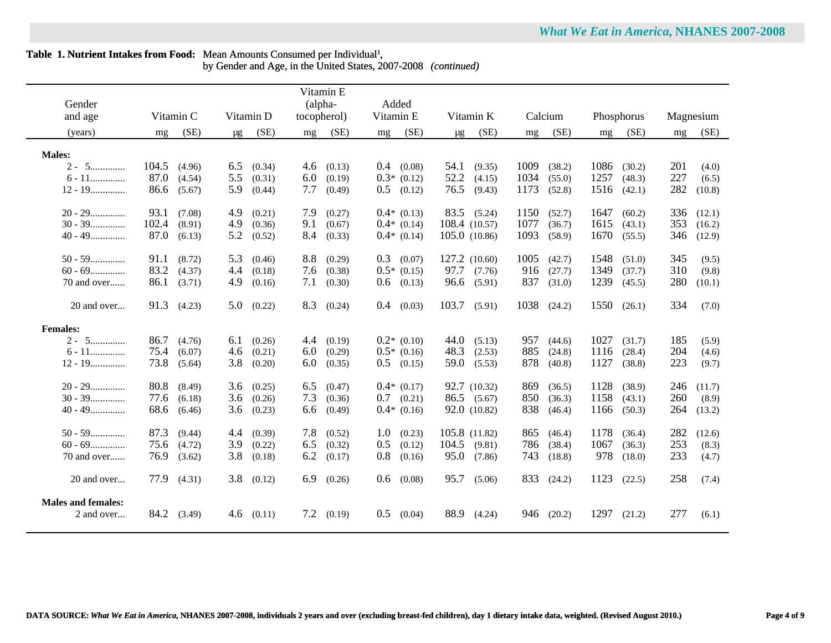# Table 1. Nutrient Intakes from Food: Mean Amounts Consumed per Individual<sup>1</sup>, by Gender and Age, in the United States, 2007-2008 *(continued)*

 $\overline{a}$ 

| Gender                    |                        |                      | Vitamin E<br>(alpha- | Added                           |                         |                        |                        |                     |
|---------------------------|------------------------|----------------------|----------------------|---------------------------------|-------------------------|------------------------|------------------------|---------------------|
| and age                   | Vitamin C              | Vitamin D            | tocopherol)          | Vitamin E                       | Vitamin K               | Calcium                | Phosphorus             | Magnesium           |
| (years)                   | (SE)<br>mg             | (SE)<br>$\mu$ g      | (SE)<br>mg           | (SE)<br>mg                      | (SE)<br>$\mu$ g         | (SE)<br>$m$ g          | (SE)<br>mg             | (SE)<br>mg          |
|                           |                        |                      |                      |                                 |                         |                        |                        |                     |
| <b>Males:</b>             |                        |                      |                      |                                 |                         |                        |                        |                     |
| $2 - 5$                   | 104.5<br>(4.96)        | 6.5<br>(0.34)        | 4.6<br>(0.13)        | $0.4$ (0.08)                    | $54.1$ (9.35)           | 1009<br>(38.2)         | 1086<br>(30.2)         | 201<br>(4.0)        |
| $6 - 11$<br>$12 - 19$     | 87.0<br>(4.54)<br>86.6 | 5.5<br>(0.31)<br>5.9 | 6.0<br>(0.19)<br>7.7 | $0.3*$ (0.12)<br>$0.5$ $(0.12)$ | $52.2$ $(4.15)$<br>76.5 | 1034<br>(55.0)<br>1173 | 1257<br>(48.3)<br>1516 | 227<br>(6.5)<br>282 |
|                           | (5.67)                 | (0.44)               | (0.49)               |                                 | (9.43)                  | (52.8)                 | (42.1)                 | (10.8)              |
| $20 - 29$                 | 93.1<br>(7.08)         | 4.9<br>(0.21)        | 7.9<br>(0.27)        | $0.4*$ (0.13)                   | 83.5 (5.24)             | 1150<br>(52.7)         | 1647<br>(60.2)         | 336<br>(12.1)       |
| $30 - 39$                 | 102.4<br>(8.91)        | 4.9<br>(0.36)        | 9.1<br>(0.67)        | $0.4*$ (0.14)                   | 108.4 (10.57)           | 1077<br>(36.7)         | 1615<br>(43.1)         | 353<br>(16.2)       |
| $40 - 49$                 | 87.0<br>(6.13)         | 5.2<br>(0.52)        | 8.4<br>(0.33)        | $0.4*$ (0.14)                   | 105.0(10.86)            | 1093<br>(58.9)         | 1670<br>(55.5)         | 346<br>(12.9)       |
| $50 - 59$                 | 91.1<br>(8.72)         | 5.3<br>(0.46)        | 8.8<br>(0.29)        | $0.3$ $(0.07)$                  | 127.2 (10.60)           | 1005<br>(42.7)         | 1548<br>(51.0)         | 345<br>(9.5)        |
| $60 - 69$                 | 83.2<br>(4.37)         | 4.4<br>(0.18)        | 7.6<br>(0.38)        | $0.5*$ (0.15)                   | 97.7 (7.76)             | 916<br>(27.7)          | 1349<br>(37.7)         | 310<br>(9.8)        |
| 70 and over               | 86.1<br>(3.71)         | 4.9<br>(0.16)        | 7.1<br>(0.30)        | $0.6$ $(0.13)$                  | 96.6 (5.91)             | 837<br>(31.0)          | 1239<br>(45.5)         | 280<br>(10.1)       |
|                           |                        |                      |                      |                                 |                         |                        |                        |                     |
| 20 and over               | 91.3 (4.23)            | 5.0<br>(0.22)        | 8.3<br>(0.24)        | $0.4$ $(0.03)$                  | $103.7$ (5.91)          | 1038<br>(24.2)         | 1550<br>(26.1)         | 334<br>(7.0)        |
| <b>Females:</b>           |                        |                      |                      |                                 |                         |                        |                        |                     |
| $2 - 5$                   | 86.7<br>(4.76)         | 6.1<br>(0.26)        | 4.4<br>(0.19)        | $0.2*$ (0.10)                   | 44.0<br>(5.13)          | 957<br>(44.6)          | 1027<br>(31.7)         | 185<br>(5.9)        |
| $6 - 11$                  | 75.4<br>(6.07)         | 4.6<br>(0.21)        | 6.0<br>(0.29)        | $0.5*$ (0.16)                   | 48.3<br>(2.53)          | 885<br>(24.8)          | 1116<br>(28.4)         | 204<br>(4.6)        |
| $12 - 19$                 | 73.8<br>(5.64)         | 3.8<br>(0.20)        | 6.0<br>(0.35)        | $0.5$ $(0.15)$                  | 59.0<br>(5.53)          | 878<br>(40.8)          | 1127<br>(38.8)         | 223<br>(9.7)        |
| $20 - 29$                 | 80.8<br>(8.49)         | 3.6<br>(0.25)        | 6.5<br>(0.47)        | $0.4*$ (0.17)                   | 92.7 (10.32)            | 869<br>(36.5)          | 1128<br>(38.9)         | 246<br>(11.7)       |
| $30 - 39$                 | 77.6<br>(6.18)         | 3.6<br>(0.26)        | 7.3<br>(0.36)        | $0.7$ $(0.21)$                  | 86.5 (5.67)             | 850<br>(36.3)          | 1158<br>(43.1)         | 260<br>(8.9)        |
| $40 - 49$                 | 68.6<br>(6.46)         | 3.6<br>(0.23)        | 6.6<br>(0.49)        | $0.4*$ (0.16)                   | 92.0 (10.82)            | 838<br>(46.4)          | 1166<br>(50.3)         | 264<br>(13.2)       |
|                           |                        |                      |                      |                                 |                         |                        |                        |                     |
| $50 - 59$                 | 87.3<br>(9.44)         | 4.4<br>(0.39)        | 7.8<br>(0.52)        | 1.0 <sub>l</sub><br>(0.23)      | 105.8 (11.82)           | 865<br>(46.4)          | 1178<br>(36.4)         | 282<br>(12.6)       |
| $60 - 69$                 | 75.6<br>(4.72)         | 3.9<br>(0.22)        | 6.5<br>(0.32)        | 0.5<br>(0.12)                   | $104.5$ (9.81)          | 786<br>(38.4)          | 1067<br>(36.3)         | 253<br>(8.3)        |
| 70 and over               | 76.9<br>(3.62)         | 3.8<br>(0.18)        | 6.2<br>(0.17)        | 0.8<br>(0.16)                   | 95.0<br>(7.86)          | 743<br>(18.8)          | 978<br>(18.0)          | 233<br>(4.7)        |
| 20 and over               | 77.9<br>(4.31)         | 3.8<br>(0.12)        | 6.9<br>(0.26)        | 0.6<br>(0.08)                   | 95.7<br>(5.06)          | 833<br>(24.2)          | 1123<br>(22.5)         | 258<br>(7.4)        |
| <b>Males and females:</b> |                        |                      |                      |                                 |                         |                        |                        |                     |
| 2 and over                | 84.2 (3.49)            | $4.6$ $(0.11)$       | 7.2<br>(0.19)        | 0.5<br>(0.04)                   | 88.9<br>(4.24)          | 946<br>(20.2)          | 1297<br>(21.2)         | 277<br>(6.1)        |
|                           |                        |                      |                      |                                 |                         |                        |                        |                     |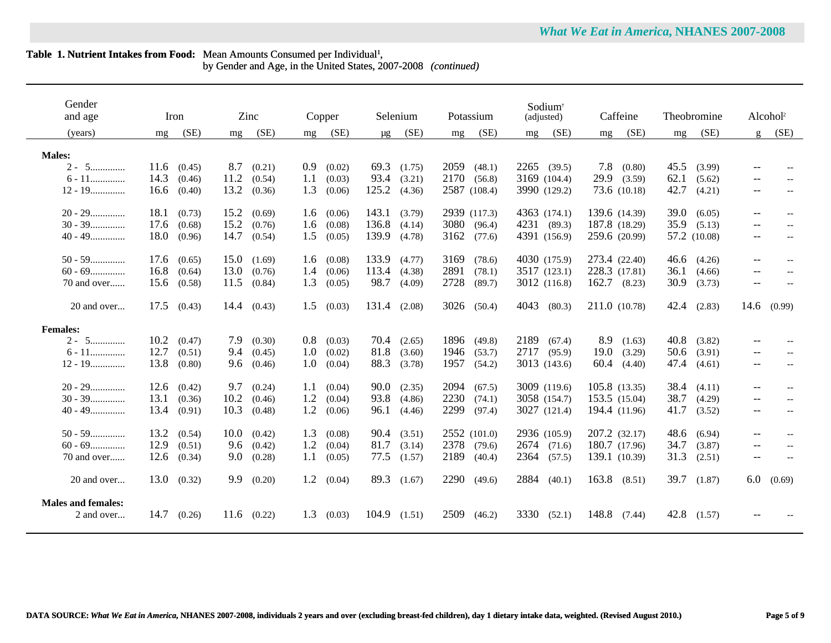by Gender and Age, in the United States, 2007-2008 *(continued)*

| Gender<br>and age                       |      | Iron   |      | Zinc   |     | Copper             |              | Selenium            |      | Potassium    |      | Sodium <sup>+</sup><br>(adjusted) |       | Caffeine         |      | Theobromine  |                          | Alcohol <sup>2</sup> |
|-----------------------------------------|------|--------|------|--------|-----|--------------------|--------------|---------------------|------|--------------|------|-----------------------------------|-------|------------------|------|--------------|--------------------------|----------------------|
| (years)                                 | mg   | (SE)   | mg   | (SE)   | mg  | (SE)               | $\mu$ g      | (SE)                | mg   | (SE)         | mg   | (SE)                              | mg    | (SE)             | mg   | (SE)         | $\mathbf{g}$             | (SE)                 |
| <b>Males:</b>                           |      |        |      |        |     |                    |              |                     |      |              |      |                                   |       |                  |      |              |                          |                      |
| $2 - 5$                                 | 11.6 | (0.45) | 8.7  | (0.21) | 0.9 | (0.02)             |              | 69.3 $(1.75)$       | 2059 | (48.1)       |      | $2265$ (39.5)                     | 7.8   | (0.80)           | 45.5 | (3.99)       |                          |                      |
| $6 - 11$                                | 14.3 | (0.46) | 11.2 | (0.54) | 1.1 | (0.03)             | 93.4         | (3.21)              | 2170 | (56.8)       |      | 3169 (104.4)                      |       | 29.9(3.59)       | 62.1 | (5.62)       |                          |                      |
| $12 - 19$                               | 16.6 | (0.40) | 13.2 | (0.36) | 1.3 | (0.06)             | 125.2        | (4.36)              |      | 2587 (108.4) |      | 3990 (129.2)                      |       | 73.6 (10.18)     | 42.7 | (4.21)       | $\overline{\phantom{a}}$ |                      |
| $20 - 29$                               | 18.1 | (0.73) | 15.2 | (0.69) | 1.6 | (0.06)             | 143.1        | (3.79)              |      | 2939 (117.3) |      | 4363 (174.1)                      |       | 139.6 (14.39)    | 39.0 | (6.05)       | $\qquad \qquad -$        | $-$                  |
| $30 - 39$                               | 17.6 | (0.68) | 15.2 | (0.76) | 1.6 | (0.08)             | 136.8        | (4.14)              | 3080 | (96.4)       |      | 4231 (89.3)                       |       | 187.8 (18.29)    | 35.9 | (5.13)       | $\overline{\phantom{a}}$ |                      |
| $40 - 49$                               | 18.0 | (0.96) | 14.7 | (0.54) | 1.5 | (0.05)             | 139.9        | (4.78)              | 3162 | (77.6)       |      | 4391 (156.9)                      |       | 259.6 (20.99)    |      | 57.2 (10.08) | $\qquad \qquad -$        |                      |
| $50 - 59$                               | 17.6 | (0.65) | 15.0 | (1.69) | 1.6 | (0.08)             | 133.9        | (4.77)              | 3169 | (78.6)       |      | 4030 (175.9)                      |       | 273.4 (22.40)    | 46.6 | (4.26)       | $\overline{\phantom{a}}$ | $- -$                |
| $60 - 69$                               | 16.8 | (0.64) | 13.0 | (0.76) | 1.4 | (0.06)             | 113.4 (4.38) |                     | 2891 | (78.1)       |      | 3517 (123.1)                      |       | 228.3 (17.81)    | 36.1 | (4.66)       | $\overline{\phantom{a}}$ |                      |
| 70 and over                             | 15.6 | (0.58) | 11.5 | (0.84) | 1.3 | (0.05)             | 98.7         | (4.09)              | 2728 | (89.7)       |      | 3012 (116.8)                      |       | $162.7$ $(8.23)$ | 30.9 | (3.73)       | $\qquad \qquad -$        |                      |
| 20 and over                             | 17.5 | (0.43) | 14.4 | (0.43) | 1.5 | (0.03)             | 131.4 (2.08) |                     |      | 3026 (50.4)  | 4043 | (80.3)                            |       | 211.0 (10.78)    | 42.4 | (2.83)       | 14.6                     | (0.99)               |
| <b>Females:</b>                         |      |        |      |        |     |                    |              |                     |      |              |      |                                   |       |                  |      |              |                          |                      |
| 5<br>$2 -$                              | 10.2 | (0.47) | 7.9  | (0.30) | 0.8 | (0.03)             |              | $70.4$ $(2.65)$     | 1896 | (49.8)       | 2189 | (67.4)                            | 8.9   | (1.63)           | 40.8 | (3.82)       | $\qquad \qquad -$        |                      |
| $6 - 11$                                | 12.7 | (0.51) | 9.4  | (0.45) | 1.0 | (0.02)             | 81.8         | (3.60)              | 1946 | (53.7)       | 2717 | (95.9)                            | 19.0  | (3.29)           | 50.6 | (3.91)       | $\qquad \qquad -$        |                      |
| $12 - 19$                               | 13.8 | (0.80) | 9.6  | (0.46) | 1.0 | (0.04)             | 88.3         | (3.78)              | 1957 | (54.2)       |      | 3013 (143.6)                      | 60.4  | (4.40)           | 47.4 | (4.61)       | $--$                     | $-$                  |
| $20 - 29$                               | 12.6 | (0.42) | 9.7  | (0.24) | 1.1 | (0.04)             |              | $90.0 \quad (2.35)$ | 2094 | (67.5)       |      | 3009 (119.6)                      |       | 105.8 (13.35)    | 38.4 | (4.11)       | $- -$                    |                      |
| $30 - 39$                               | 13.1 | (0.36) | 10.2 | (0.46) | 1.2 | (0.04)             |              | 93.8 (4.86)         | 2230 | (74.1)       |      | 3058 (154.7)                      |       | 153.5 (15.04)    | 38.7 | (4.29)       | $\qquad \qquad -$        |                      |
| $40 - 49$                               | 13.4 | (0.91) | 10.3 | (0.48) | 1.2 | (0.06)             | 96.1         | (4.46)              | 2299 | (97.4)       |      | 3027 (121.4)                      |       | 194.4 (11.96)    | 41.7 | (3.52)       | $--$                     |                      |
| $50 - 59$                               | 13.2 | (0.54) | 10.0 | (0.42) | 1.3 | (0.08)             | 90.4         | (3.51)              |      | 2552 (101.0) |      | 2936 (105.9)                      |       | 207.2 (32.17)    | 48.6 | (6.94)       | $- -$                    |                      |
| $60 - 69$                               | 12.9 | (0.51) | 9.6  | (0.42) | 1.2 | (0.04)             | 81.7         | (3.14)              | 2378 | (79.6)       |      | 2674 (71.6)                       |       | 180.7 (17.96)    | 34.7 | (3.87)       | $- -$                    | $-$                  |
| 70 and over                             | 12.6 | (0.34) | 9.0  | (0.28) | 1.1 | (0.05)             | 77.5         | (1.57)              | 2189 | (40.4)       | 2364 | (57.5)                            |       | 139.1 (10.39)    | 31.3 | (2.51)       | $--$                     | $- -$                |
| 20 and over                             | 13.0 | (0.32) | 9.9  | (0.20) |     | $1.2 \quad (0.04)$ |              | 89.3 (1.67)         |      | 2290 (49.6)  |      | 2884 (40.1)                       |       | $163.8$ $(8.51)$ | 39.7 | (1.87)       | 6.0                      | (0.69)               |
| <b>Males and females:</b><br>2 and over | 14.7 | (0.26) | 11.6 | (0.22) | 1.3 | (0.03)             | 104.9        | (1.51)              | 2509 | (46.2)       | 3330 | (52.1)                            | 148.8 | (7.44)           | 42.8 | (1.57)       |                          |                      |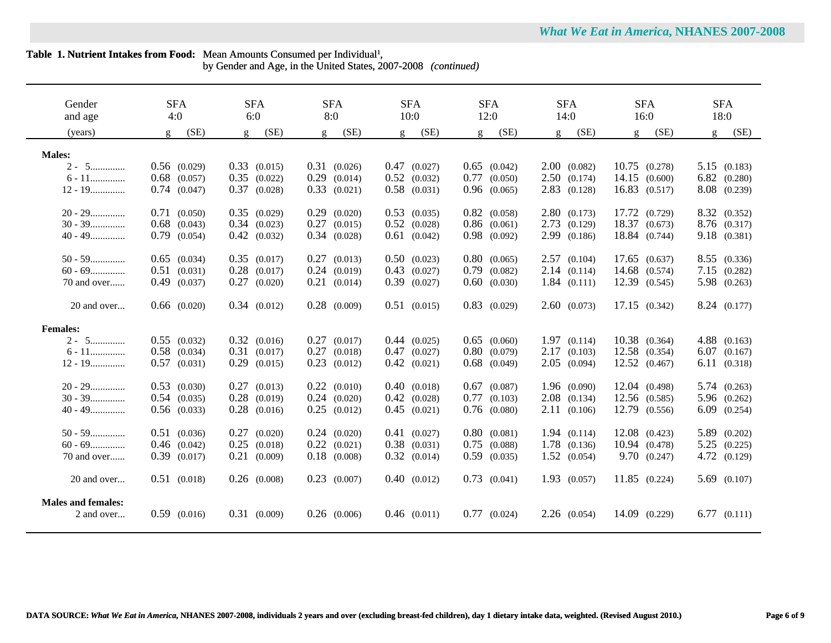$\overline{a}$ 

by Gender and Age, in the United States, 2007-2008 *(continued)*

| Gender<br>and age         | <b>SFA</b><br>4:0 | <b>SFA</b><br>6:0 | <b>SFA</b><br>8:0 | <b>SFA</b><br>10:0 | <b>SFA</b><br>12:0 | <b>SFA</b><br>14:0   | <b>SFA</b><br>16:0    | <b>SFA</b><br>18:0 |
|---------------------------|-------------------|-------------------|-------------------|--------------------|--------------------|----------------------|-----------------------|--------------------|
| (years)                   | (SE)<br>g         | (SE)<br>g         | (SE)<br>g         | (SE)<br>g          | (SE)<br>g          | (SE)<br>g            | (SE)<br>g             | (SE)<br>g          |
|                           |                   |                   |                   |                    |                    |                      |                       |                    |
| <b>Males:</b>             |                   |                   |                   |                    |                    |                      |                       |                    |
| $2 - 5$                   | $0.56$ $(0.029)$  | $0.33$ $(0.015)$  | $0.31$ $(0.026)$  | $0.47$ $(0.027)$   | $0.65$ $(0.042)$   | 2.00(0.082)          | $10.75$ $(0.278)$     | 5.15(0.183)        |
| $6 - 11$                  | $0.68$ $(0.057)$  | $0.35$ $(0.022)$  | 0.29<br>(0.014)   | $0.52$ $(0.032)$   | $0.77$ $(0.050)$   | 2.50(0.174)          | 14.15(0.600)          | $6.82$ $(0.280)$   |
| $12 - 19$                 | $0.74$ $(0.047)$  | 0.37<br>(0.028)   | $0.33$ $(0.021)$  | $0.58$ $(0.031)$   | $0.96$ $(0.065)$   | $2.83$ (0.128)       | $16.83$ $(0.517)$     | 8.08 (0.239)       |
| $20 - 29$                 | $0.71$ $(0.050)$  | $0.35$ $(0.029)$  | $0.29$ $(0.020)$  | $0.53$ $(0.035)$   | $0.82$ $(0.058)$   | 2.80(0.173)          | 17.72 (0.729)         | 8.32 (0.352)       |
| $30 - 39$                 | $0.68$ $(0.043)$  | $0.34$ $(0.023)$  | $0.27$ $(0.015)$  | $0.52$ $(0.028)$   | $0.86$ $(0.061)$   | $2.73$ $(0.129)$     | 18.37 (0.673)         | 8.76 (0.317)       |
| $40 - 49$                 | $0.79$ $(0.054)$  | $0.42$ $(0.032)$  | $0.34$ $(0.028)$  | $0.61$ $(0.042)$   | $0.98$ $(0.092)$   | 2.99 (0.186)         | 18.84 (0.744)         | 9.18(0.381)        |
|                           |                   |                   |                   |                    |                    |                      |                       |                    |
| $50 - 59$                 | $0.65$ $(0.034)$  | $0.35$ $(0.017)$  | $0.27$ $(0.013)$  | $0.50$ $(0.023)$   | $0.80$ $(0.065)$   | 2.57(0.104)          | $17.65$ $(0.637)$     | 8.55 (0.336)       |
| $60 - 69$                 | $0.51$ $(0.031)$  | $0.28$ $(0.017)$  | $0.24$ $(0.019)$  | $0.43$ $(0.027)$   | $0.79$ $(0.082)$   | 2.14(0.114)          | 14.68 (0.574)         | 7.15(0.282)        |
| 70 and over               | $0.49$ $(0.037)$  | 0.27<br>(0.020)   | $0.21$ $(0.014)$  | $0.39$ $(0.027)$   | $0.60$ $(0.030)$   | 1.84(0.111)          | 12.39 (0.545)         | 5.98 (0.263)       |
| 20 and over               | $0.66$ $(0.020)$  | 0.34(0.012)       | $0.28$ $(0.009)$  | $0.51$ $(0.015)$   | $0.83$ $(0.029)$   | 2.60(0.073)          | 17.15(0.342)          | 8.24 (0.177)       |
| <b>Females:</b>           |                   |                   |                   |                    |                    |                      |                       |                    |
| $2 - 5$                   | $0.55$ $(0.032)$  | $0.32$ $(0.016)$  | $0.27$ $(0.017)$  | $0.44$ $(0.025)$   | $0.65$ $(0.060)$   | 1.97(0.114)          | 10.38 (0.364)         | $4.88$ $(0.163)$   |
| $6 - 11$                  | $0.58$ $(0.034)$  | $0.31$ $(0.017)$  | $0.27$ $(0.018)$  | $0.47$ $(0.027)$   | $0.80$ $(0.079)$   | 2.17(0.103)          | 12.58 (0.354)         | $6.07$ $(0.167)$   |
| $12 - 19$                 | $0.57$ $(0.031)$  | $0.29$ $(0.015)$  | $0.23$ $(0.012)$  | $0.42$ $(0.021)$   | $0.68$ $(0.049)$   | 2.05(0.094)          | $12.52 \quad (0.467)$ | 6.11(0.318)        |
| $20 - 29$                 | $0.53$ $(0.030)$  | $0.27$ $(0.013)$  | $0.22$ $(0.010)$  | 0.40(0.018)        | $0.67$ $(0.087)$   | 1.96(0.090)          | 12.04 (0.498)         | 5.74(0.263)        |
| $30 - 39$                 | $0.54$ $(0.035)$  | $0.28$ $(0.019)$  | $0.24$ $(0.020)$  | $0.42$ $(0.028)$   | $0.77$ $(0.103)$   | $2.08$ $(0.134)$     | 12.56 (0.585)         | 5.96 (0.262)       |
| $40 - 49$                 | $0.56$ $(0.033)$  | $0.28$ $(0.016)$  | $0.25$ $(0.012)$  | $0.45$ $(0.021)$   | $0.76$ $(0.080)$   | 2.11(0.106)          | 12.79 (0.556)         | $6.09$ $(0.254)$   |
|                           |                   |                   |                   |                    |                    |                      |                       |                    |
| $50 - 59$                 | $0.51$ $(0.036)$  | $0.27$ $(0.020)$  | $0.24$ $(0.020)$  | $0.41$ $(0.027)$   | $0.80$ $(0.081)$   | 1.94(0.114)          | $12.08$ $(0.423)$     | 5.89 (0.202)       |
| $60 - 69$                 | $0.46$ $(0.042)$  | 0.25<br>(0.018)   | $0.22$ $(0.021)$  | $0.38$ $(0.031)$   | $0.75$ $(0.088)$   | 1.78 (0.136)         | 10.94 (0.478)         | $5.25$ $(0.225)$   |
| 70 and over               | $0.39$ $(0.017)$  | $0.21$ $(0.009)$  | $0.18$ $(0.008)$  | $0.32$ $(0.014)$   | $0.59$ $(0.035)$   | $1.52 \quad (0.054)$ | 9.70(0.247)           | 4.72 (0.129)       |
|                           |                   |                   |                   |                    |                    |                      |                       |                    |
| 20 and over               | $0.51$ (0.018)    | $0.26$ $(0.008)$  | $0.23$ $(0.007)$  | $0.40$ $(0.012)$   | $0.73$ $(0.041)$   | $1.93$ $(0.057)$     | $11.85$ $(0.224)$     | $5.69$ $(0.107)$   |
| <b>Males and females:</b> |                   |                   |                   |                    |                    |                      |                       |                    |
| 2 and over                | $0.59$ $(0.016)$  | $0.31$ $(0.009)$  | $0.26$ $(0.006)$  | $0.46$ $(0.011)$   | $0.77$ $(0.024)$   | $2.26$ $(0.054)$     | 14.09 (0.229)         | 6.77(0.111)        |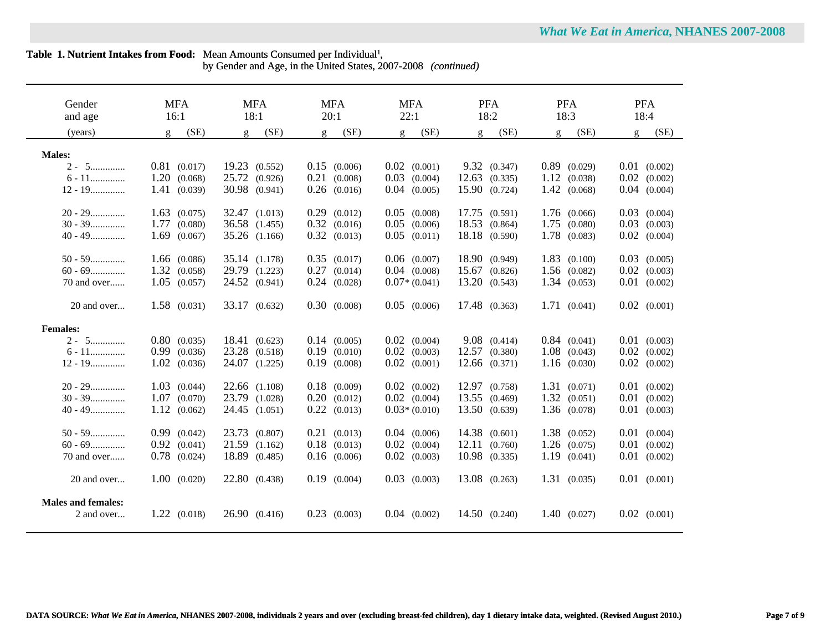$\sim$ 

by Gender and Age, in the United States, 2007-2008 *(continued)*

| Gender                    | <b>MFA</b>       | <b>MFA</b>       | <b>MFA</b>           | <b>MFA</b>       | <b>PFA</b>             | <b>PFA</b>       | <b>PFA</b>       |
|---------------------------|------------------|------------------|----------------------|------------------|------------------------|------------------|------------------|
| and age                   | 16:1             | 18:1             | 20:1                 | 22:1             | 18:2                   | 18:3             | 18:4             |
| (years)                   | (SE)<br>g        | (SE)<br><b>q</b> | (SE)<br>$\mathbf{g}$ | (SE)<br>g        | (SE)<br>$\mathfrak{g}$ | (SE)<br><b>q</b> | (SE)<br>g        |
|                           |                  |                  |                      |                  |                        |                  |                  |
| <b>Males:</b>             |                  |                  |                      |                  |                        |                  |                  |
| $2 - 5$                   | $0.81$ $(0.017)$ | 19.23 (0.552)    | $0.15$ $(0.006)$     | $0.02$ $(0.001)$ | 9.32(0.347)            | $0.89$ $(0.029)$ | $0.01$ $(0.002)$ |
| $6 - 11$                  | 1.20(0.068)      | 25.72 (0.926)    | $0.21$ $(0.008)$     | $0.03$ $(0.004)$ | $12.63$ $(0.335)$      | 1.12(0.038)      | 0.02<br>(0.002)  |
| $12 - 19$                 | 1.41(0.039)      | 30.98 (0.941)    | $0.26$ $(0.016)$     | $0.04$ $(0.005)$ | 15.90 (0.724)          | $1.42$ (0.068)   | 0.04<br>(0.004)  |
| $20 - 29$                 | $1.63$ $(0.075)$ | 32.47 (1.013)    | $0.29$ $(0.012)$     | $0.05$ $(0.008)$ | 17.75 (0.591)          | $1.76$ (0.066)   | 0.03<br>(0.004)  |
| $30 - 39$                 | 1.77<br>(0.080)  | 36.58 (1.455)    | $0.32$ $(0.016)$     | $0.05$ $(0.006)$ | 18.53 (0.864)          | $1.75$ (0.080)   | 0.03<br>(0.003)  |
| $40 - 49$                 | 1.69<br>(0.067)  | 35.26 (1.166)    | $0.32$ $(0.013)$     | $0.05$ $(0.011)$ | 18.18 (0.590)          | 1.78 (0.083)     | 0.02<br>(0.004)  |
| $50 - 59$                 | $1.66$ (0.086)   | 35.14 (1.178)    | $0.35$ $(0.017)$     | $0.06$ $(0.007)$ | 18.90 (0.949)          | $1.83$ (0.100)   | 0.03<br>(0.005)  |
| $60 - 69$                 | 1.32(0.058)      | 29.79 (1.223)    | $0.27$ $(0.014)$     | $0.04$ $(0.008)$ | 15.67<br>(0.826)       | $1.56$ (0.082)   | 0.02<br>(0.003)  |
| 70 and over               | $1.05$ $(0.057)$ | 24.52 (0.941)    | $0.24$ $(0.028)$     | $0.07*(0.041)$   | 13.20<br>(0.543)       | 1.34(0.053)      | 0.01<br>(0.002)  |
| 20 and over               | $1.58$ $(0.031)$ | 33.17 (0.632)    | 0.30(0.008)          | $0.05$ $(0.006)$ | 17.48 (0.363)          | 1.71(0.041)      | $0.02$ $(0.001)$ |
|                           |                  |                  |                      |                  |                        |                  |                  |
| <b>Females:</b>           |                  |                  |                      |                  |                        |                  |                  |
| $2 - 5$                   | $0.80$ $(0.035)$ | 18.41 (0.623)    | 0.14(0.005)          | $0.02$ $(0.004)$ | 9.08(0.414)            | $0.84$ $(0.041)$ | $0.01$ $(0.003)$ |
| $6 - 11$                  | $0.99$ $(0.036)$ | 23.28 (0.518)    | $0.19$ $(0.010)$     | $0.02$ $(0.003)$ | 12.57 (0.380)          | $1.08$ (0.043)   | $0.02$ $(0.002)$ |
| $12 - 19$                 | $1.02$ $(0.036)$ | 24.07 (1.225)    | $0.19$ $(0.008)$     | $0.02$ $(0.001)$ | $12.66$ $(0.371)$      | 1.16(0.030)      | $0.02$ $(0.002)$ |
| $20 - 29$                 | $1.03$ $(0.044)$ | 22.66 (1.108)    | $0.18$ $(0.009)$     | $0.02$ $(0.002)$ | 12.97 (0.758)          | 1.31(0.071)      | $0.01$ $(0.002)$ |
| $30 - 39$                 | $1.07$ $(0.070)$ | 23.79 (1.028)    | $0.20$ $(0.012)$     | $0.02$ $(0.004)$ | 13.55 (0.469)          | $1.32$ (0.051)   | 0.01<br>(0.002)  |
| $40 - 49$                 | 1.12(0.062)      | 24.45 (1.051)    | $0.22$ $(0.013)$     | $0.03*(0.010)$   | 13.50 (0.639)          | $1.36$ $(0.078)$ | 0.01<br>(0.003)  |
|                           |                  |                  |                      |                  |                        |                  |                  |
| $50 - 59$                 | $0.99$ $(0.042)$ | 23.73 (0.807)    | $0.21$ $(0.013)$     | $0.04$ $(0.006)$ | 14.38 (0.601)          | $1.38$ $(0.052)$ | 0.01<br>(0.004)  |
| $60 - 69$                 | $0.92$ $(0.041)$ | 21.59 (1.162)    | $0.18$ $(0.013)$     | $0.02$ $(0.004)$ | 12.11<br>(0.760)       | $1.26$ $(0.075)$ | 0.01<br>(0.002)  |
| 70 and over               | $0.78$ $(0.024)$ | 18.89 (0.485)    | $0.16$ $(0.006)$     | $0.02$ $(0.003)$ | $10.98$ $(0.335)$      | 1.19(0.041)      | 0.01<br>(0.002)  |
| 20 and over               | $1.00$ $(0.020)$ | 22.80 (0.438)    | $0.19$ $(0.004)$     | $0.03$ $(0.003)$ | 13.08 (0.263)          | 1.31(0.035)      | $0.01$ $(0.001)$ |
| <b>Males and females:</b> |                  |                  |                      |                  |                        |                  |                  |
| 2 and over                | 1.22(0.018)      | 26.90(0.416)     | $0.23$ $(0.003)$     | $0.04$ $(0.002)$ | 14.50 (0.240)          | 1.40(0.027)      | $0.02$ $(0.001)$ |
|                           |                  |                  |                      |                  |                        |                  |                  |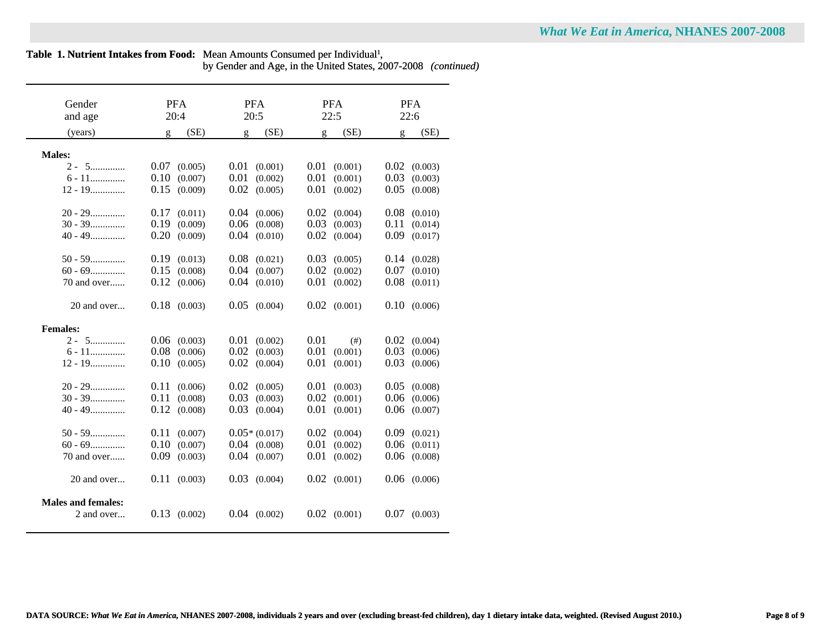| <b>What We Eat in America, NHANES 2007-2008</b> |  |
|-------------------------------------------------|--|
|-------------------------------------------------|--|

by Gender and Age, in the United States, 2007-2008 *(continued)*

| Gender                    | <b>PFA</b>           | <b>PFA</b>       | <b>PFA</b>           | <b>PFA</b>           |
|---------------------------|----------------------|------------------|----------------------|----------------------|
| and age                   | 20:4                 | 20:5             | 22:5                 | 22:6                 |
| (years)                   | (SE)<br>$\mathbf{g}$ | (SE)<br>g        | (SE)<br>$\mathbf{g}$ | (SE)<br>$\mathbf{g}$ |
|                           |                      |                  |                      |                      |
| <b>Males:</b>             |                      |                  |                      |                      |
| $2 - 5$                   | 0.07<br>(0.005)      | 0.01<br>(0.001)  | 0.01<br>(0.001)      | 0.02<br>(0.003)      |
| $6 - 11$                  | 0.10<br>(0.007)      | 0.01<br>(0.002)  | 0.01<br>(0.001)      | 0.03<br>(0.003)      |
| $12 - 19$                 | 0.15<br>(0.009)      | 0.02<br>(0.005)  | 0.01<br>(0.002)      | 0.05<br>(0.008)      |
| $20 - 29$                 | 0.17<br>(0.011)      | 0.04<br>(0.006)  | 0.02<br>(0.004)      | 0.08<br>(0.010)      |
| $30 - 39$                 | 0.19<br>(0.009)      | 0.06<br>(0.008)  | 0.03<br>(0.003)      | 0.11<br>(0.014)      |
| $40 - 49$                 | 0.20<br>(0.009)      | 0.04<br>(0.010)  | 0.02<br>(0.004)      | 0.09<br>(0.017)      |
|                           |                      |                  |                      |                      |
| $50 - 59$                 | 0.19<br>(0.013)      | 0.08<br>(0.021)  | 0.03<br>(0.005)      | 0.14<br>(0.028)      |
| $60 - 69$                 | 0.15<br>(0.008)      | 0.04<br>(0.007)  | 0.02<br>(0.002)      | 0.07<br>(0.010)      |
| 70 and over               | 0.12<br>(0.006)      | 0.04<br>(0.010)  | 0.01<br>(0.002)      | 0.08<br>(0.011)      |
|                           |                      |                  |                      |                      |
| 20 and over               | $0.18$ $(0.003)$     | 0.05<br>(0.004)  | $0.02$ $(0.001)$     | 0.10<br>(0.006)      |
|                           |                      |                  |                      |                      |
| <b>Females:</b>           |                      |                  |                      |                      |
| $2 - 5$                   | 0.06<br>(0.003)      | 0.01<br>(0.002)  | 0.01<br>(# )         | (0.004)<br>0.02      |
| $6 - 11$                  | 0.08<br>(0.006)      | 0.02<br>(0.003)  | 0.01<br>(0.001)      | 0.03<br>(0.006)      |
| $12 - 19$                 | 0.10<br>(0.005)      | 0.02<br>(0.004)  | 0.01<br>(0.001)      | 0.03<br>(0.006)      |
| $20 - 29$                 | 0.11<br>(0.006)      | 0.02<br>(0.005)  | 0.01<br>(0.003)      | 0.05<br>(0.008)      |
| $30 - 39$                 | 0.11<br>(0.008)      | 0.03<br>(0.003)  | 0.02<br>(0.001)      | 0.06<br>(0.006)      |
| $40 - 49$                 | 0.12<br>(0.008)      | 0.03<br>(0.004)  | 0.01<br>(0.001)      | 0.06<br>(0.007)      |
|                           |                      |                  |                      |                      |
| $50 - 59$                 | 0.11<br>(0.007)      | $0.05*(0.017)$   | 0.02<br>(0.004)      | 0.09<br>(0.021)      |
| $60 - 69$                 | 0.10<br>(0.007)      | $0.04$ $(0.008)$ | 0.01<br>(0.002)      | 0.06<br>(0.011)      |
| 70 and over               | 0.09<br>(0.003)      | $0.04$ $(0.007)$ | 0.01<br>(0.002)      | 0.06<br>(0.008)      |
|                           |                      |                  |                      |                      |
| 20 and over               | 0.11<br>(0.003)      | 0.03<br>(0.004)  | $0.02$ $(0.001)$     | 0.06<br>(0.006)      |
|                           |                      |                  |                      |                      |
| <b>Males and females:</b> |                      |                  |                      |                      |
| 2 and over                | $0.13$ $(0.002)$     | $0.04$ $(0.002)$ | $0.02$ $(0.001)$     | $0.07$ $(0.003)$     |
|                           |                      |                  |                      |                      |